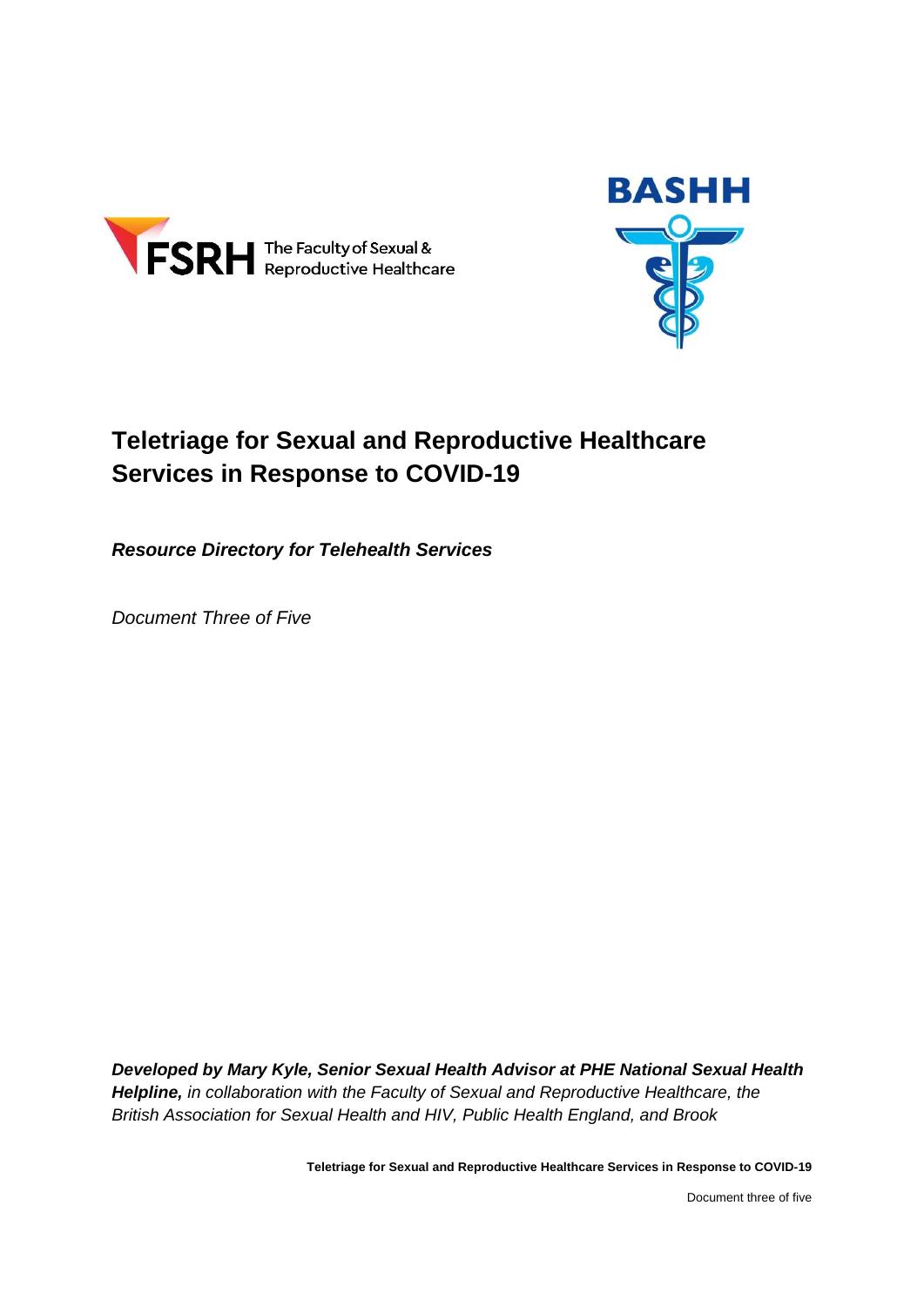



# **Teletriage for Sexual and Reproductive Healthcare Services in Response to COVID-19**

*Resource Directory for Telehealth Services*

*Document Three of Five*

*Developed by Mary Kyle, Senior Sexual Health Advisor at PHE National Sexual Health Helpline, in collaboration with the Faculty of Sexual and Reproductive Healthcare, the British Association for Sexual Health and HIV, Public Health England, and Brook*

**Teletriage for Sexual and Reproductive Healthcare Services in Response to COVID-19**

Document three of five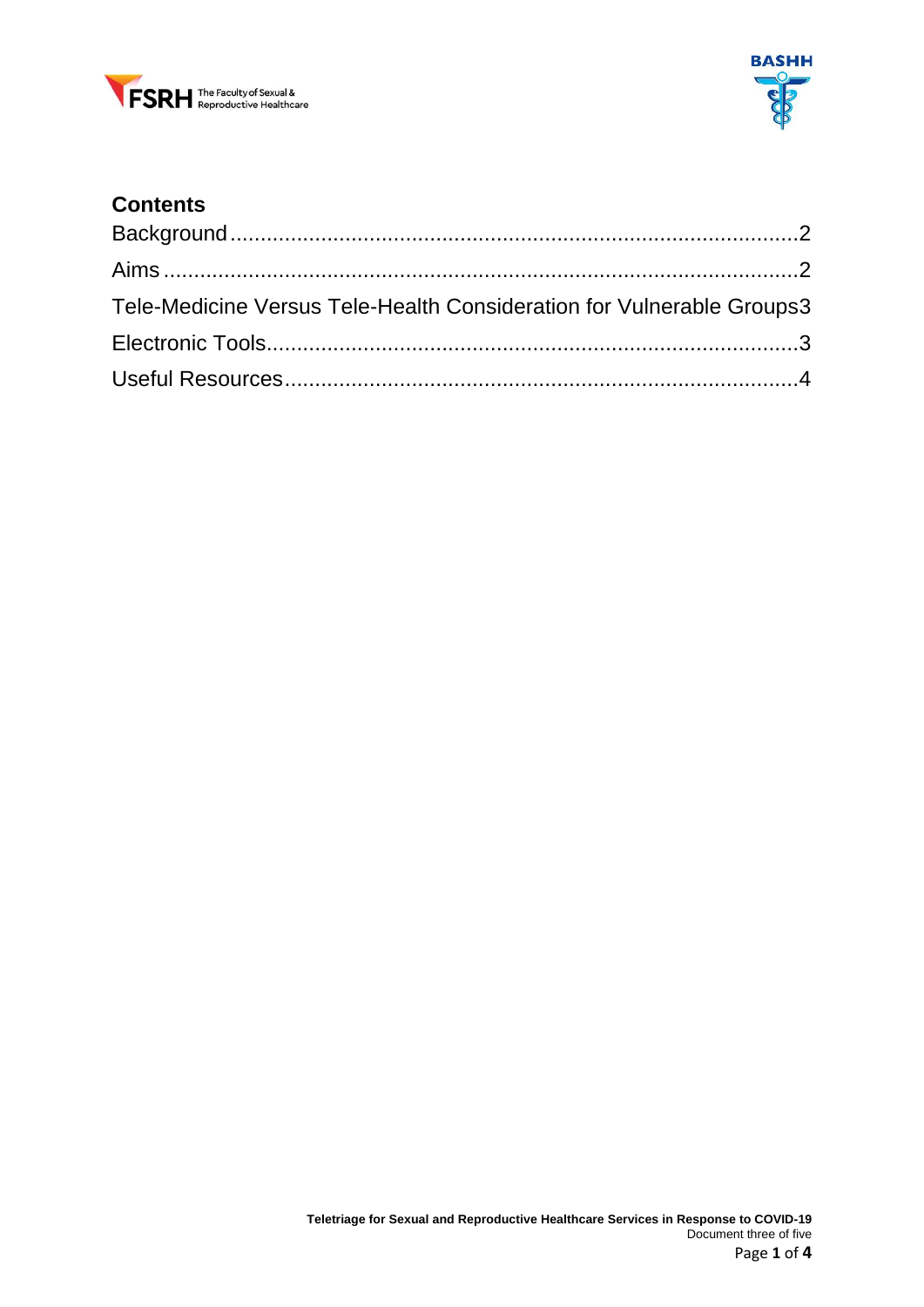



# **Contents**

| Tele-Medicine Versus Tele-Health Consideration for Vulnerable Groups3 |  |
|-----------------------------------------------------------------------|--|
|                                                                       |  |
|                                                                       |  |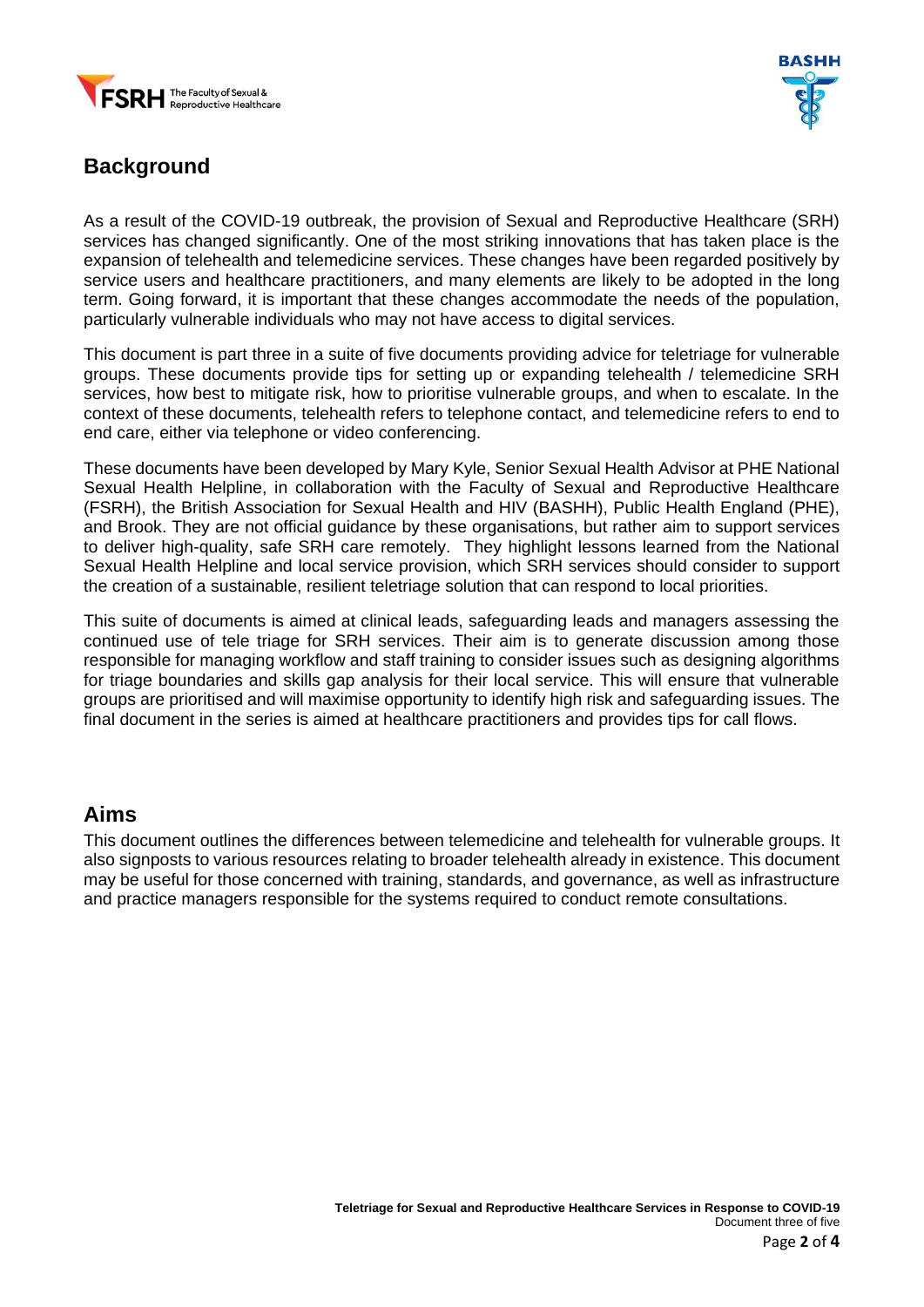



### <span id="page-2-0"></span>**Background**

As a result of the COVID-19 outbreak, the provision of Sexual and Reproductive Healthcare (SRH) services has changed significantly. One of the most striking innovations that has taken place is the expansion of telehealth and telemedicine services. These changes have been regarded positively by service users and healthcare practitioners, and many elements are likely to be adopted in the long term. Going forward, it is important that these changes accommodate the needs of the population, particularly vulnerable individuals who may not have access to digital services.

This document is part three in a suite of five documents providing advice for teletriage for vulnerable groups. These documents provide tips for setting up or expanding telehealth / telemedicine SRH services, how best to mitigate risk, how to prioritise vulnerable groups, and when to escalate. In the context of these documents, telehealth refers to telephone contact, and telemedicine refers to end to end care, either via telephone or video conferencing.

These documents have been developed by Mary Kyle, Senior Sexual Health Advisor at PHE National Sexual Health Helpline, in collaboration with the Faculty of Sexual and Reproductive Healthcare (FSRH), the British Association for Sexual Health and HIV (BASHH), Public Health England (PHE), and Brook. They are not official guidance by these organisations, but rather aim to support services to deliver high-quality, safe SRH care remotely. They highlight lessons learned from the National Sexual Health Helpline and local service provision, which SRH services should consider to support the creation of a sustainable, resilient teletriage solution that can respond to local priorities.

This suite of documents is aimed at clinical leads, safeguarding leads and managers assessing the continued use of tele triage for SRH services. Their aim is to generate discussion among those responsible for managing workflow and staff training to consider issues such as designing algorithms for triage boundaries and skills gap analysis for their local service. This will ensure that vulnerable groups are prioritised and will maximise opportunity to identify high risk and safeguarding issues. The final document in the series is aimed at healthcare practitioners and provides tips for call flows.

#### <span id="page-2-1"></span>**Aims**

This document outlines the differences between telemedicine and telehealth for vulnerable groups. It also signposts to various resources relating to broader telehealth already in existence. This document may be useful for those concerned with training, standards, and governance, as well as infrastructure and practice managers responsible for the systems required to conduct remote consultations.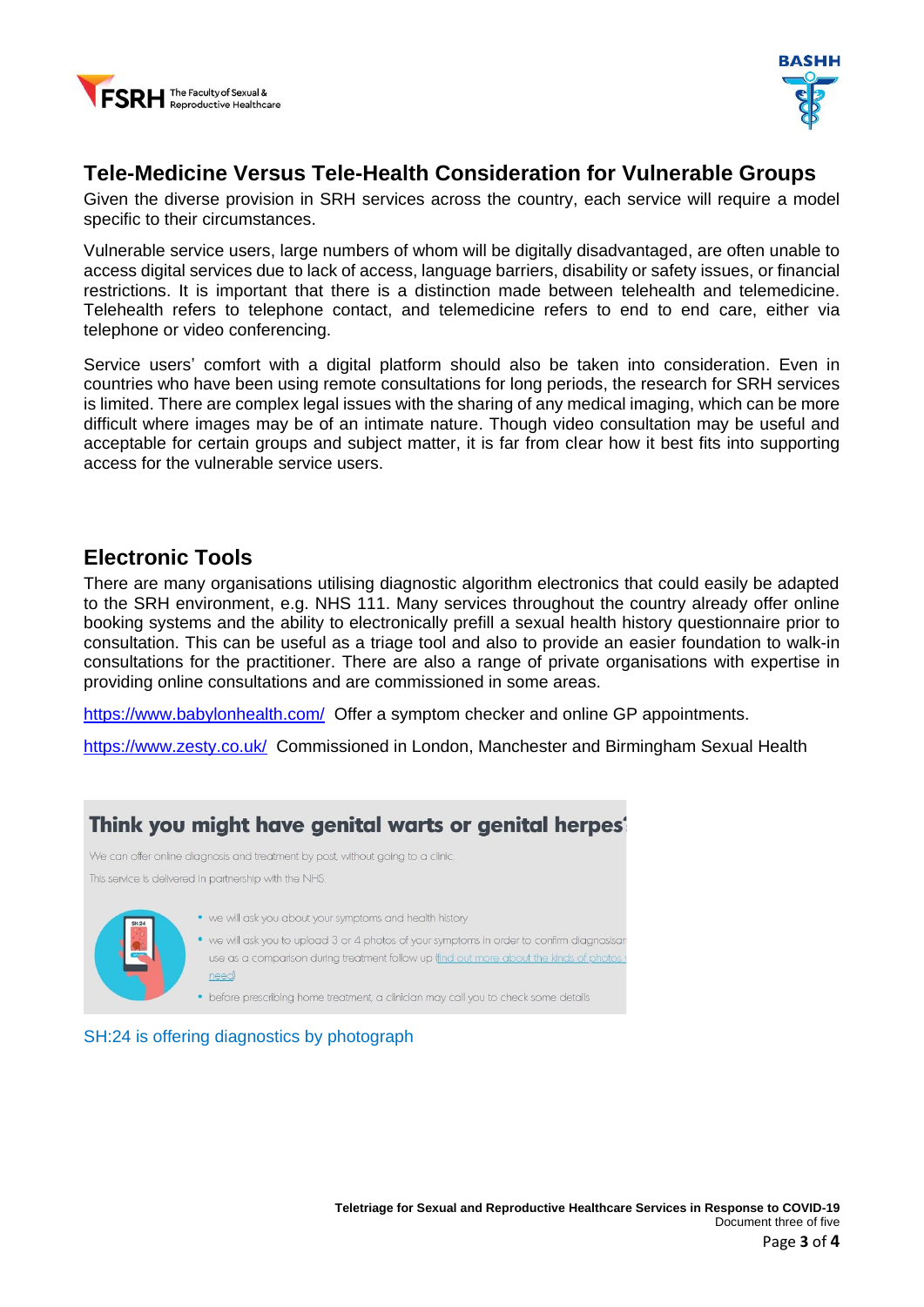



### <span id="page-3-0"></span>**Tele-Medicine Versus Tele-Health Consideration for Vulnerable Groups**

Given the diverse provision in SRH services across the country, each service will require a model specific to their circumstances.

Vulnerable service users, large numbers of whom will be digitally disadvantaged, are often unable to access digital services due to lack of access, language barriers, disability or safety issues, or financial restrictions. It is important that there is a distinction made between telehealth and telemedicine. Telehealth refers to telephone contact, and telemedicine refers to end to end care, either via telephone or video conferencing.

Service users' comfort with a digital platform should also be taken into consideration. Even in countries who have been using remote consultations for long periods, the research for SRH services is limited. There are complex legal issues with the sharing of any medical imaging, which can be more difficult where images may be of an intimate nature. Though video consultation may be useful and acceptable for certain groups and subject matter, it is far from clear how it best fits into supporting access for the vulnerable service users.

#### <span id="page-3-1"></span>**Electronic Tools**

There are many organisations utilising diagnostic algorithm electronics that could easily be adapted to the SRH environment, e.g. NHS 111. Many services throughout the country already offer online booking systems and the ability to electronically prefill a sexual health history questionnaire prior to consultation. This can be useful as a triage tool and also to provide an easier foundation to walk-in consultations for the practitioner. There are also a range of private organisations with expertise in providing online consultations and are commissioned in some areas.

<https://www.babylonhealth.com/>Offer a symptom checker and online GP appointments.

<https://www.zesty.co.uk/>Commissioned in London, Manchester and Birmingham Sexual Health



#### SH:24 is offering diagnostics by photograph